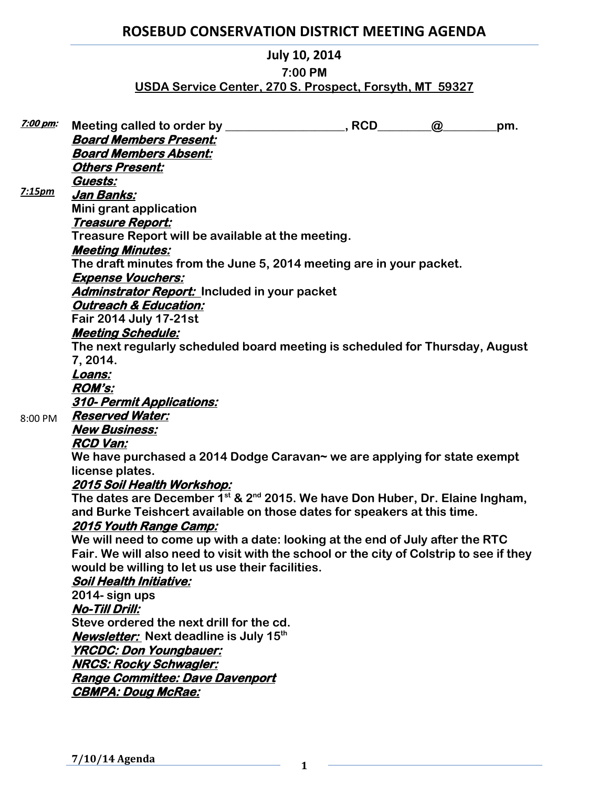# **ROSEBUD CONSERVATION DISTRICT MEETING AGENDA**

### **July 10, 2014**

### **7:00 PM**

### **USDA Service Center, 270 S. Prospect, Forsyth, MT 59327**

| <u>7:00 pm:</u> |                                                                                         |  | $\omega$ | pm. |
|-----------------|-----------------------------------------------------------------------------------------|--|----------|-----|
|                 | <b>Board Members Present:</b>                                                           |  |          |     |
|                 | <b>Board Members Absent:</b>                                                            |  |          |     |
|                 | <b>Others Present:</b>                                                                  |  |          |     |
|                 | Guests:                                                                                 |  |          |     |
| 7:15pm          | Jan Banks:                                                                              |  |          |     |
|                 | Mini grant application                                                                  |  |          |     |
|                 | Treasure Report:                                                                        |  |          |     |
|                 | Treasure Report will be available at the meeting.                                       |  |          |     |
|                 | <b>Meeting Minutes:</b>                                                                 |  |          |     |
|                 | The draft minutes from the June 5, 2014 meeting are in your packet.                     |  |          |     |
|                 | <b>Expense Vouchers:</b>                                                                |  |          |     |
|                 | Adminstrator Report: Included in your packet                                            |  |          |     |
|                 | <b>Outreach &amp; Education:</b>                                                        |  |          |     |
|                 | <b>Fair 2014 July 17-21st</b>                                                           |  |          |     |
|                 | <b>Meeting Schedule:</b>                                                                |  |          |     |
|                 | The next regularly scheduled board meeting is scheduled for Thursday, August            |  |          |     |
|                 | 7, 2014.                                                                                |  |          |     |
|                 | Loans:                                                                                  |  |          |     |
|                 | <b>ROM's:</b>                                                                           |  |          |     |
|                 | <b>310- Permit Applications:</b>                                                        |  |          |     |
| 8:00 PM         | <b>Reserved Water:</b>                                                                  |  |          |     |
|                 | <b>New Business:</b>                                                                    |  |          |     |
|                 | <b>RCD Van:</b>                                                                         |  |          |     |
|                 | We have purchased a 2014 Dodge Caravan~ we are applying for state exempt                |  |          |     |
|                 | license plates.                                                                         |  |          |     |
|                 | <u> 2015 Soil Health Workshop:</u>                                                      |  |          |     |
|                 | The dates are December $1^{st}$ & $2^{nd}$ 2015. We have Don Huber, Dr. Elaine Ingham,  |  |          |     |
|                 | and Burke Teishcert available on those dates for speakers at this time.                 |  |          |     |
|                 | <u>2015 Youth Range Camp:</u>                                                           |  |          |     |
|                 | We will need to come up with a date: looking at the end of July after the RTC           |  |          |     |
|                 | Fair. We will also need to visit with the school or the city of Colstrip to see if they |  |          |     |
|                 | would be willing to let us use their facilities.                                        |  |          |     |
|                 | <b>Soil Health Initiative:</b>                                                          |  |          |     |
|                 | 2014- sign ups                                                                          |  |          |     |
|                 | <b>No-Till Drill:</b>                                                                   |  |          |     |
|                 | Steve ordered the next drill for the cd.                                                |  |          |     |
|                 | <b>Newsletter:</b> Next deadline is July 15 <sup>th</sup>                               |  |          |     |
|                 | <b>YRCDC: Don Youngbauer:</b>                                                           |  |          |     |
|                 | <b>NRCS: Rocky Schwagler:</b>                                                           |  |          |     |
|                 | <u> Range Committee: Dave Davenport</u>                                                 |  |          |     |
|                 | <b>CBMPA: Doug McRae:</b>                                                               |  |          |     |
|                 |                                                                                         |  |          |     |